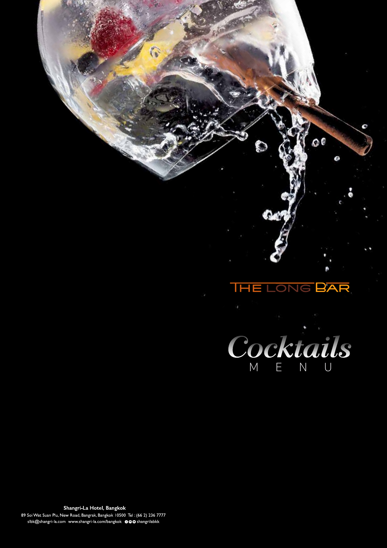

Shangri-La Hotel, Bangkok 89 Soi Wat Suan Plu, New Road, Bangrak, Bangkok 10500 Tel: (66 2) 236 7777 slbk@shangri-la.com www.shangri-la.com/bangkok @@Oshangrilabkk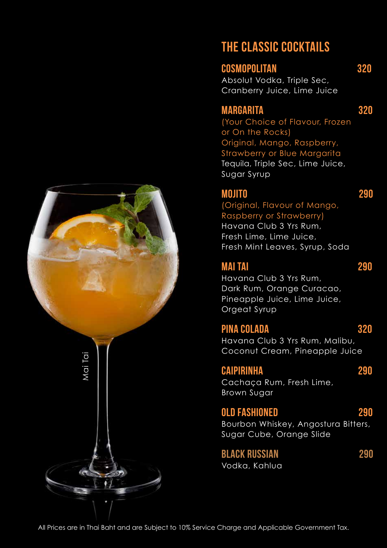

# THE CLASSIC COCKTAILS

Cosmopolitan 320 Absolut Vodka, Triple Sec, Cranberry Juice, Lime Juice

# MARGARITA 320

(Your Choice of Flavour, Frozen or On the Rocks) Original, Mango, Raspberry, Strawberry or Blue Margarita Tequila, Triple Sec, Lime Juice, Sugar Syrup

# Mojito 290

(Original, Flavour of Mango, Raspberry or Strawberry) Havana Club 3 Yrs Rum, Fresh Lime, Lime Juice, Fresh Mint Leaves, Syrup, Soda

# Mai Tai 290

Havana Club 3 Yrs Rum, Dark Rum, Orange Curacao, Pineapple Juice, Lime Juice, Orgeat Syrup

# Pina Colada 320

Havana Club 3 Yrs Rum, Malibu, Coconut Cream, Pineapple Juice

# CAIPIRINHA 290

Cachaça Rum, Fresh Lime, Brown Sugar

# OLD FASHIONED 290

Bourbon Whiskey, Angostura Bitters, Sugar Cube, Orange Slide

Black Russian 290 Vodka, Kahlua

All Prices are in Thai Baht and are Subject to 10% Service Charge and Applicable Government Tax.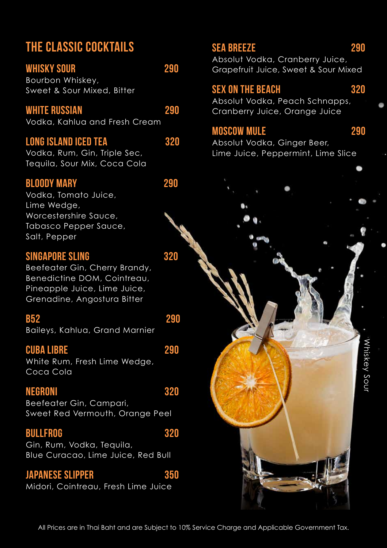# THE CLASSIC COCKTAILS

WHISKY SOUR 290 Bourbon Whiskey, Sweet & Sour Mixed, Bitter

#### WHITE RUSSIAN 290

Vodka, Kahlua and Fresh Cream

#### Long Island IceD Tea 320

Vodka, Rum, Gin, Triple Sec, Tequila, Sour Mix, Coca Cola

#### Bloody Mary 290

Vodka, Tomato Juice, Lime Wedge, Worcestershire Sauce, Tabasco Pepper Sauce, Salt, Pepper

## SINGAPORE SLING **320**

Beefeater Gin, Cherry Brandy, Benedictine DOM, Cointreau, Pineapple Juice, Lime Juice, Grenadine, Angostura Bitter

#### **B52** 290

Baileys, Kahlua, Grand Marnier

#### Cuba Libre 290

White Rum, Fresh Lime Wedge, Coca Cola

#### NEGRONI 320

Beefeater Gin, Campari, Sweet Red Vermouth, Orange Peel

#### BULLFROG 320

Gin, Rum, Vodka, Tequila, Blue Curacao, Lime Juice, Red Bull

## Japanese Slipper 350

Midori, Cointreau, Fresh Lime Juice

# SEA BREEZE 290

Absolut Vodka, Cranberry Juice, Grapefruit Juice, Sweet & Sour Mixed

#### SEX ON THE BEACH 320

Absolut Vodka, Peach Schnapps, Cranberry Juice, Orange Juice

# MOSCOW MULE 290

Absolut Vodka, Ginger Beer, Lime Juice, Peppermint, Lime Slice

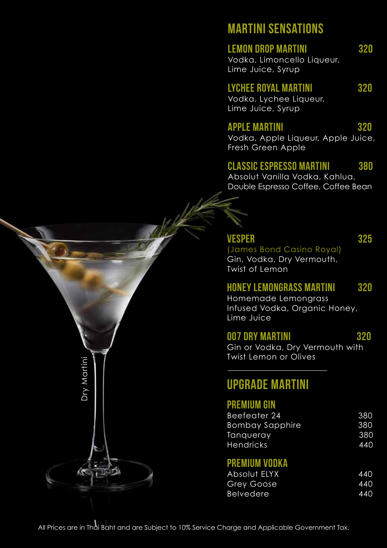# MARTINI SENSATIONS

#### LEMON DROP MARTINI 320

Vodka, Limoncello Liqueur, Lime Juice, Syrup

## Lychee Royal Martini 320

Vodka, Lychee Liqueur, Lime Juice, Syrup

#### Apple Martini 320

Vodka, Apple Liqueur, Apple Juice, Fresh Green Apple

## Classic Espresso Martini 380

Absolut Vanilla Vodka, Kahlua, Double Espresso Coffee, Coffee Bean

# VESPER 325

(James Bond Casino Royal) Gin, Vodka, Dry Vermouth, Twist of Lemon

# Honey Lemongrass Martini 320

Homemade Lemongrass Infused Vodka, Organic Honey, Lime Juice

## 007 Dry Martini 320

Gin or Vodka, Dry Vermouth with Twist Lemon or Olives

# UPGRADE MARTINI

## Premium Gin

|                                                                                                  | LWDL LOTIOLL OF OTLACS                                                                        |                          |
|--------------------------------------------------------------------------------------------------|-----------------------------------------------------------------------------------------------|--------------------------|
| Dry Martin                                                                                       | <b>UPGRADE MARTINI</b>                                                                        |                          |
|                                                                                                  | <b>PREMIUM GIN</b><br>Beefeater 24<br><b>Bombay Sapphire</b><br>Tanqueray<br><b>Hendricks</b> | 380<br>380<br>380<br>440 |
|                                                                                                  | <b>PREMIUM VODKA</b><br>Absolut ELYX<br>Grey Goose<br><b>Belvedere</b>                        | 440<br>440<br>440        |
| All Prices are in Thai Baht and are Subject to 10% Service Charge and Applicable Government Tax. |                                                                                               |                          |

## PREMIUM VODKA

| <b>Absolut ELYX</b> | 440 |
|---------------------|-----|
| <b>Grey Goose</b>   | 440 |
| <b>Belvedere</b>    | 440 |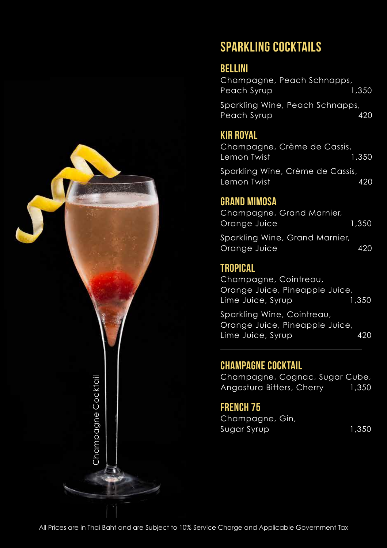

# SPARKLING COCKTAILS

# Bellini

Champagne, Peach Schnapps, Peach Syrup 1,350 Sparkling Wine, Peach Schnapps,

Peach Syrup 420

# Kir Royal

Champagne, Crème de Cassis, Lemon Twist 1,350 Sparkling Wine, Crème de Cassis,

Lemon Twist 420

# Grand Mimosa

Champagne, Grand Marnier, Orange Juice 1,350

Sparkling Wine, Grand Marnier, Orange Juice 420

# **TROPICAL**

Champagne, Cointreau, Orange Juice, Pineapple Juice, Lime Juice, Syrup 1,350

Sparkling Wine, Cointreau, Orange Juice, Pineapple Juice, Lime Juice, Syrup 420

# Champagne Cocktail

Champagne, Cognac, Sugar Cube, Angostura Bitters, Cherry 1,350

# FRENCH<sub>75</sub>

Champagne, Gin, Sugar Syrup 1,350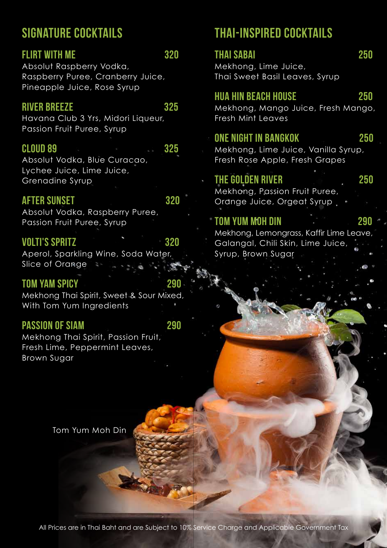# SIGNATURE COCKTAILS

# FLIRT WITH ME 320

Absolut Raspberry Vodka, Raspberry Puree, Cranberry Juice, Pineapple Juice, Rose Syrup

#### RIVER BREEZE 325

Havana Club 3 Yrs, Midori Liqueur, Passion Fruit Puree, Syrup

#### CLOUD 89 325

Absolut Vodka, Blue Curacao, Lychee Juice, Lime Juice, Grenadine Syrup

## AFTER SUNSET 320

Absolut Vodka, Raspberry Puree, Passion Fruit Puree, Syrup

#### Volti's Spritz 320

Aperol, Sparkling Wine, Soda Water, Slice of Orange  $\tilde{\epsilon}$ 

#### Tom Yam Spicy 290

Mekhong Thai Spirit, Sweet & Sour Mixed, With Tom Yum Ingredients

#### PASSION OF SIAM 290

Mekhong Thai Spirit, Passion Fruit, Fresh Lime, Peppermint Leaves, Brown Sugar

# THAI-INSPIRED COCKTAILS

| <b>THAI SABAI</b><br>Mekhong, Lime Juice,<br>Thai Sweet Basil Leaves, Syrup                                                  | 250 |
|------------------------------------------------------------------------------------------------------------------------------|-----|
| <b>HUA HIN BEACH HOUSE</b><br>Mekhong, Mango Juice, Fresh Mango,<br><b>Fresh Mint Leaves</b>                                 | 250 |
| <b>ONE NIGHT IN BANGKOK</b><br>Mekhong, Lime Juice, Vanilla Syrup,<br>Fresh Rose Apple, Fresh Grapes                         | 250 |
| THE GOLDEN RIVER<br>Mekhong, Passion Fruit Puree,<br>Orange Juice, Orgeat Syrup                                              | 250 |
| <b>TOM YUM MOH DIN</b><br>Mekhong, Lemongrass, Kaffir Lime Leave,<br>Galangal, Chili Skin, Lime Juice,<br>Syrup, Brown Sugar | 290 |

Tom Yum Moh Din

All Prices are in Thai Baht and are Subject to 10% Service Charge and Applicable Government Tax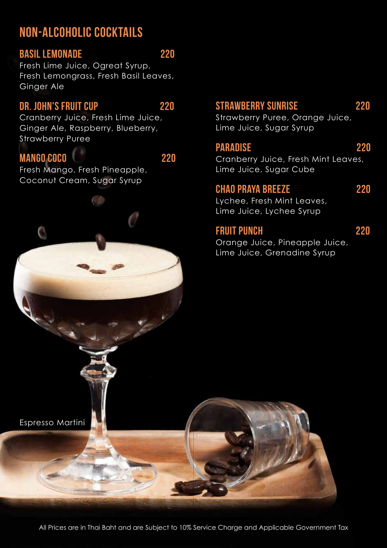# NON-ALCOHOLIC COCKTAILS

#### Basil Lemonade 220

Fresh Lime Juice, Ogreat Syrup, Fresh Lemongrass, Fresh Basil Leaves, Ginger Ale

## DR. JOHN'S FRUIT CUP 220

Cranberry Juice, Fresh Lime Juice, Ginger Ale, Raspberry, Blueberry, Strawberry Puree

## Mango Coco 220

Fresh Mango, Fresh Pineapple, Coconut Cream, Sugar Syrup

# STRAWBERRY SUNRISE 220

Strawberry Puree, Orange Juice, Lime Juice, Sugar Syrup

## Paradise 220

Cranberry Juice, Fresh Mint Leaves, Lime Juice, Sugar Cube

#### Chao Praya Breeze 220

Lychee, Fresh Mint Leaves, Lime Juice, Lychee Syrup

#### FRUIT PUNCH 220

Orange Juice, Pineapple Juice, Lime Juice, Grenadine Syrup